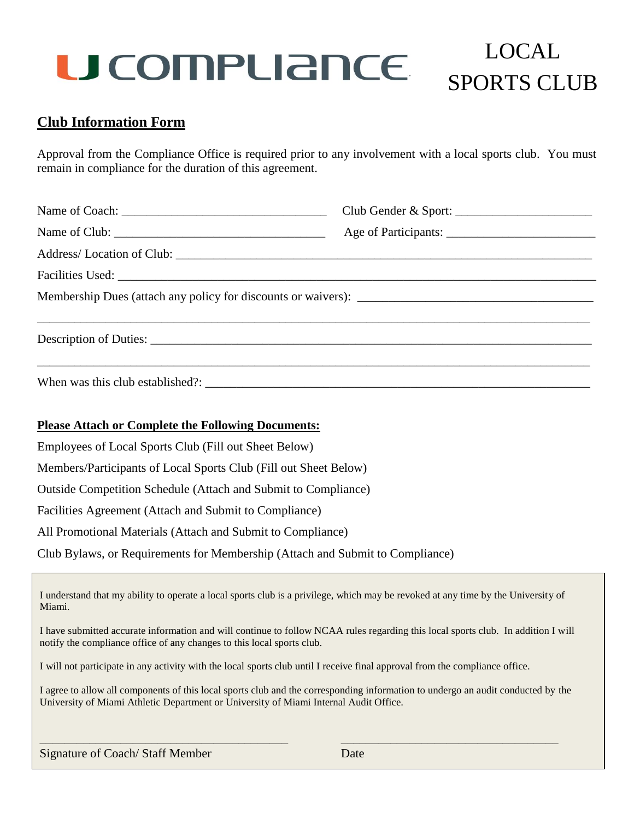## LOCAL SPORTS CLUB

### **Club Information Form**

Approval from the Compliance Office is required prior to any involvement with a local sports club. You must remain in compliance for the duration of this agreement.

|  | Club Gender & Sport: |  |  |  |  |
|--|----------------------|--|--|--|--|
|  |                      |  |  |  |  |
|  |                      |  |  |  |  |
|  |                      |  |  |  |  |
|  |                      |  |  |  |  |
|  |                      |  |  |  |  |
|  |                      |  |  |  |  |

#### **Please Attach or Complete the Following Documents:**

Employees of Local Sports Club (Fill out Sheet Below)

Members/Participants of Local Sports Club (Fill out Sheet Below)

Outside Competition Schedule (Attach and Submit to Compliance)

Facilities Agreement (Attach and Submit to Compliance)

All Promotional Materials (Attach and Submit to Compliance)

Club Bylaws, or Requirements for Membership (Attach and Submit to Compliance)

I understand that my ability to operate a local sports club is a privilege, which may be revoked at any time by the University of Miami.

I have submitted accurate information and will continue to follow NCAA rules regarding this local sports club. In addition I will notify the compliance office of any changes to this local sports club.

I will not participate in any activity with the local sports club until I receive final approval from the compliance office.

I agree to allow all components of this local sports club and the corresponding information to undergo an audit conducted by the University of Miami Athletic Department or University of Miami Internal Audit Office.

\_\_\_\_\_\_\_\_\_\_\_\_\_\_\_\_\_\_\_\_\_\_\_\_\_\_\_\_\_\_\_\_\_\_\_\_\_\_\_\_ \_\_\_\_\_\_\_\_\_\_\_\_\_\_\_\_\_\_\_\_\_\_\_\_\_\_\_\_\_\_\_\_\_\_\_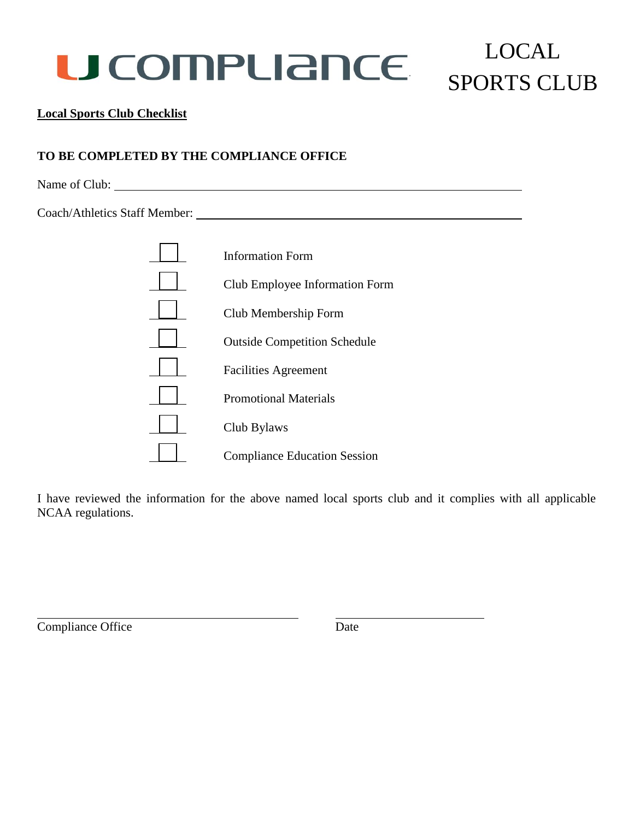## LOCAL SPORTS CLUB

#### **Local Sports Club Checklist**

### **TO BE COMPLETED BY THE COMPLIANCE OFFICE**

Name of Club:

Coach/Athletics Staff Member:

| <b>Information Form</b>             |
|-------------------------------------|
| Club Employee Information Form      |
| Club Membership Form                |
| <b>Outside Competition Schedule</b> |
| <b>Facilities Agreement</b>         |
| <b>Promotional Materials</b>        |
| Club Bylaws                         |
| <b>Compliance Education Session</b> |

I have reviewed the information for the above named local sports club and it complies with all applicable NCAA regulations.

Compliance Office Date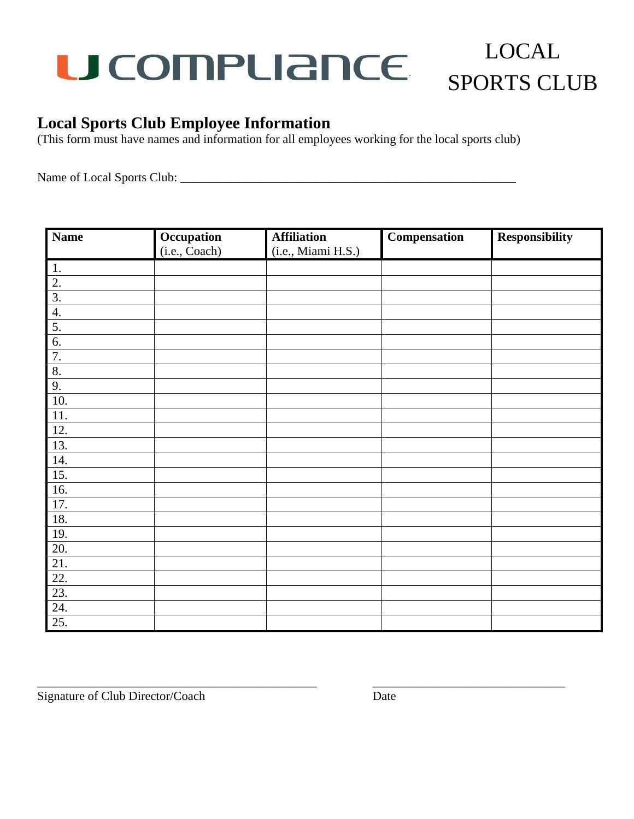### LOCAL **U COMPLIANCE** SPORTS CLUB

### **Local Sports Club Employee Information**

(This form must have names and information for all employees working for the local sports club)

Name of Local Sports Club: \_\_\_\_\_\_\_\_\_\_\_\_\_\_\_\_\_\_\_\_\_\_\_\_\_\_\_\_\_\_\_\_\_\_\_\_\_\_\_\_\_\_\_\_\_\_\_\_\_\_\_\_\_\_

| <b>Name</b>       | Occupation    | <b>Affiliation</b> | Compensation | <b>Responsibility</b> |
|-------------------|---------------|--------------------|--------------|-----------------------|
|                   | (i.e., Coach) | (i.e., Miami H.S.) |              |                       |
| 1.                |               |                    |              |                       |
| $\overline{2}$ .  |               |                    |              |                       |
| $\overline{3}$ .  |               |                    |              |                       |
| 4.                |               |                    |              |                       |
| 5.                |               |                    |              |                       |
| 6.                |               |                    |              |                       |
| 7.                |               |                    |              |                       |
| 8.                |               |                    |              |                       |
| 9.                |               |                    |              |                       |
| $\overline{10}$ . |               |                    |              |                       |
| $11.$             |               |                    |              |                       |
| 12.               |               |                    |              |                       |
| $\overline{13}$ . |               |                    |              |                       |
| 14.               |               |                    |              |                       |
| $\overline{15}$ . |               |                    |              |                       |
| 16.               |               |                    |              |                       |
| $\overline{17}$ . |               |                    |              |                       |
| 18.               |               |                    |              |                       |
| 19.               |               |                    |              |                       |
| 20.               |               |                    |              |                       |
| 21.               |               |                    |              |                       |
| 22.               |               |                    |              |                       |
| 23.               |               |                    |              |                       |
| 24.               |               |                    |              |                       |
| $\overline{25}$ . |               |                    |              |                       |

\_\_\_\_\_\_\_\_\_\_\_\_\_\_\_\_\_\_\_\_\_\_\_\_\_\_\_\_\_\_\_\_\_\_\_\_\_\_\_\_\_\_\_\_\_ \_\_\_\_\_\_\_\_\_\_\_\_\_\_\_\_\_\_\_\_\_\_\_\_\_\_\_\_\_\_\_

Signature of Club Director/Coach Date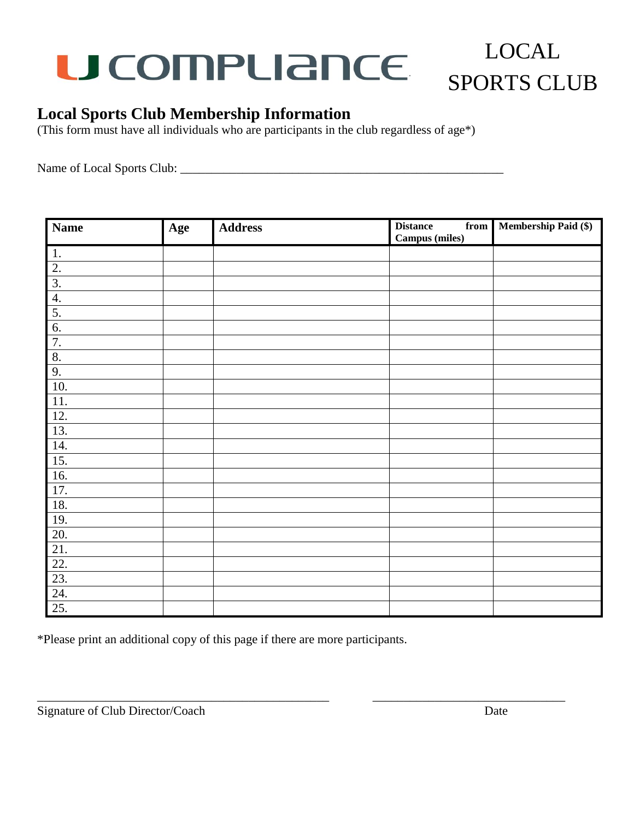## LOCAL SPORTS CLUB

### **Local Sports Club Membership Information**

(This form must have all individuals who are participants in the club regardless of age\*)

Name of Local Sports Club: \_\_\_\_\_\_\_\_\_\_\_\_\_\_\_\_\_\_\_\_\_\_\_\_\_\_\_\_\_\_\_\_\_\_\_\_\_\_\_\_\_\_\_\_\_\_\_\_\_\_\_\_

| <b>Name</b>                        | Age | <b>Address</b> | <b>Distance</b><br>$\overline{\text{from}}$<br>Campus (miles) | <b>Membership Paid (\$)</b> |
|------------------------------------|-----|----------------|---------------------------------------------------------------|-----------------------------|
| 1.                                 |     |                |                                                               |                             |
| $\overline{2}$ .                   |     |                |                                                               |                             |
| $\overline{3}$ .                   |     |                |                                                               |                             |
| 4.                                 |     |                |                                                               |                             |
| $\frac{5}{6}$                      |     |                |                                                               |                             |
|                                    |     |                |                                                               |                             |
| 7.                                 |     |                |                                                               |                             |
| 8.                                 |     |                |                                                               |                             |
| 9.                                 |     |                |                                                               |                             |
| 10.                                |     |                |                                                               |                             |
| 11.                                |     |                |                                                               |                             |
| 12.                                |     |                |                                                               |                             |
| $\overline{13}$ .                  |     |                |                                                               |                             |
| 14.                                |     |                |                                                               |                             |
| $\overline{15}$ .                  |     |                |                                                               |                             |
| 16.                                |     |                |                                                               |                             |
| 17.                                |     |                |                                                               |                             |
| 18.                                |     |                |                                                               |                             |
| 19.                                |     |                |                                                               |                             |
| 20.                                |     |                |                                                               |                             |
|                                    |     |                |                                                               |                             |
| $\frac{21}{22}$<br>$\frac{22}{23}$ |     |                |                                                               |                             |
|                                    |     |                |                                                               |                             |
| 24.                                |     |                |                                                               |                             |
| 25.                                |     |                |                                                               |                             |

\_\_\_\_\_\_\_\_\_\_\_\_\_\_\_\_\_\_\_\_\_\_\_\_\_\_\_\_\_\_\_\_\_\_\_\_\_\_\_\_\_\_\_\_\_\_\_ \_\_\_\_\_\_\_\_\_\_\_\_\_\_\_\_\_\_\_\_\_\_\_\_\_\_\_\_\_\_\_

\*Please print an additional copy of this page if there are more participants.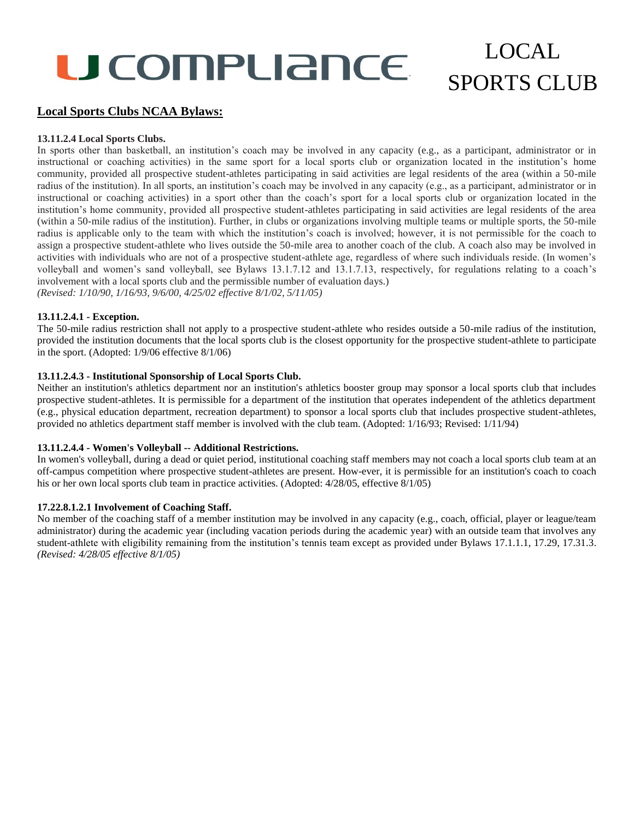## LOCAL SPORTS CLUB

#### **Local Sports Clubs NCAA Bylaws:**

#### **13.11.2.4 Local Sports Clubs.**

In sports other than basketball, an institution's coach may be involved in any capacity (e.g., as a participant, administrator or in instructional or coaching activities) in the same sport for a local sports club or organization located in the institution's home community, provided all prospective student-athletes participating in said activities are legal residents of the area (within a 50-mile radius of the institution). In all sports, an institution's coach may be involved in any capacity (e.g., as a participant, administrator or in instructional or coaching activities) in a sport other than the coach's sport for a local sports club or organization located in the institution's home community, provided all prospective student-athletes participating in said activities are legal residents of the area (within a 50-mile radius of the institution). Further, in clubs or organizations involving multiple teams or multiple sports, the 50-mile radius is applicable only to the team with which the institution's coach is involved; however, it is not permissible for the coach to assign a prospective student-athlete who lives outside the 50-mile area to another coach of the club. A coach also may be involved in activities with individuals who are not of a prospective student-athlete age, regardless of where such individuals reside. (In women's volleyball and women's sand volleyball, see Bylaws 13.1.7.12 and 13.1.7.13, respectively, for regulations relating to a coach's involvement with a local sports club and the permissible number of evaluation days.) *(Revised: 1/10/90, 1/16/93, 9/6/00, 4/25/02 effective 8/1/02, 5/11/05)*

#### **13.11.2.4.1 - Exception.**

The 50-mile radius restriction shall not apply to a prospective student-athlete who resides outside a 50-mile radius of the institution, provided the institution documents that the local sports club is the closest opportunity for the prospective student-athlete to participate in the sport. (Adopted: 1/9/06 effective 8/1/06)

#### **13.11.2.4.3 - Institutional Sponsorship of Local Sports Club.**

Neither an institution's athletics department nor an institution's athletics booster group may sponsor a local sports club that includes prospective student-athletes. It is permissible for a department of the institution that operates independent of the athletics department (e.g., physical education department, recreation department) to sponsor a local sports club that includes prospective student-athletes, provided no athletics department staff member is involved with the club team. (Adopted: 1/16/93; Revised: 1/11/94)

#### **13.11.2.4.4 - Women's Volleyball -- Additional Restrictions.**

In women's volleyball, during a dead or quiet period, institutional coaching staff members may not coach a local sports club team at an off-campus competition where prospective student-athletes are present. How-ever, it is permissible for an institution's coach to coach his or her own local sports club team in practice activities. (Adopted: 4/28/05, effective 8/1/05)

#### **17.22.8.1.2.1 Involvement of Coaching Staff.**

No member of the coaching staff of a member institution may be involved in any capacity (e.g., coach, official, player or league/team administrator) during the academic year (including vacation periods during the academic year) with an outside team that involves any student-athlete with eligibility remaining from the institution's tennis team except as provided under Bylaws 17.1.1.1, 17.29, 17.31.3. *(Revised: 4/28/05 effective 8/1/05)*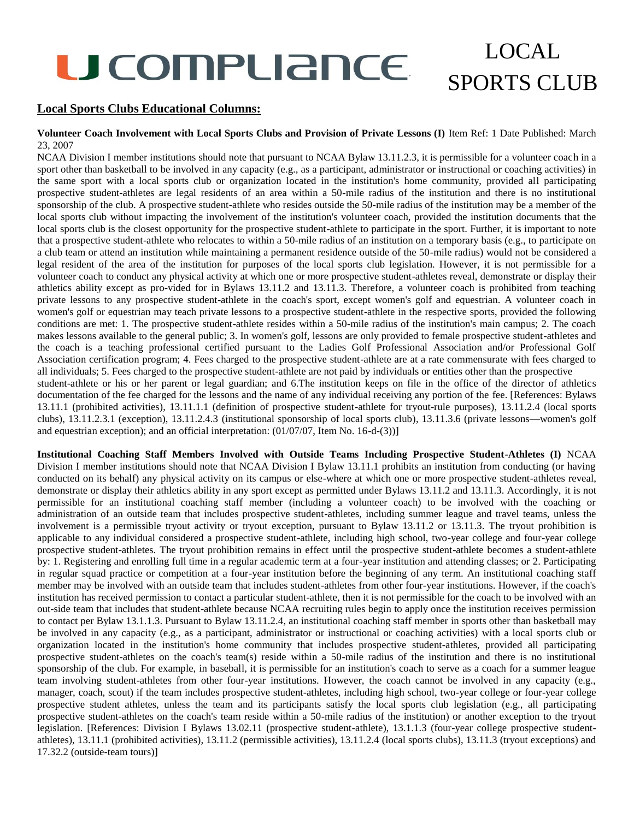and equestrian exception); and an official interpretation: (01/07/07, Item No. 16-d-(3))]

## LOCAL SPORTS CLUB

#### **Local Sports Clubs Educational Columns:**

#### **Volunteer Coach Involvement with Local Sports Clubs and Provision of Private Lessons (I)** Item Ref: 1 Date Published: March 23, 2007

NCAA Division I member institutions should note that pursuant to NCAA Bylaw 13.11.2.3, it is permissible for a volunteer coach in a sport other than basketball to be involved in any capacity (e.g., as a participant, administrator or instructional or coaching activities) in the same sport with a local sports club or organization located in the institution's home community, provided all participating prospective student-athletes are legal residents of an area within a 50-mile radius of the institution and there is no institutional sponsorship of the club. A prospective student-athlete who resides outside the 50-mile radius of the institution may be a member of the local sports club without impacting the involvement of the institution's volunteer coach, provided the institution documents that the local sports club is the closest opportunity for the prospective student-athlete to participate in the sport. Further, it is important to note that a prospective student-athlete who relocates to within a 50-mile radius of an institution on a temporary basis (e.g., to participate on a club team or attend an institution while maintaining a permanent residence outside of the 50-mile radius) would not be considered a legal resident of the area of the institution for purposes of the local sports club legislation. However, it is not permissible for a volunteer coach to conduct any physical activity at which one or more prospective student-athletes reveal, demonstrate or display their athletics ability except as pro-vided for in Bylaws 13.11.2 and 13.11.3. Therefore, a volunteer coach is prohibited from teaching private lessons to any prospective student-athlete in the coach's sport, except women's golf and equestrian. A volunteer coach in women's golf or equestrian may teach private lessons to a prospective student-athlete in the respective sports, provided the following conditions are met: 1. The prospective student-athlete resides within a 50-mile radius of the institution's main campus; 2. The coach makes lessons available to the general public; 3. In women's golf, lessons are only provided to female prospective student-athletes and the coach is a teaching professional certified pursuant to the Ladies Golf Professional Association and/or Professional Golf Association certification program; 4. Fees charged to the prospective student-athlete are at a rate commensurate with fees charged to all individuals; 5. Fees charged to the prospective student-athlete are not paid by individuals or entities other than the prospective student-athlete or his or her parent or legal guardian; and 6.The institution keeps on file in the office of the director of athletics documentation of the fee charged for the lessons and the name of any individual receiving any portion of the fee. [References: Bylaws 13.11.1 (prohibited activities), 13.11.1.1 (definition of prospective student-athlete for tryout-rule purposes), 13.11.2.4 (local sports clubs), 13.11.2.3.1 (exception), 13.11.2.4.3 (institutional sponsorship of local sports club), 13.11.3.6 (private lessons—women's golf

**Institutional Coaching Staff Members Involved with Outside Teams Including Prospective Student-Athletes (I)** NCAA Division I member institutions should note that NCAA Division I Bylaw 13.11.1 prohibits an institution from conducting (or having conducted on its behalf) any physical activity on its campus or else-where at which one or more prospective student-athletes reveal, demonstrate or display their athletics ability in any sport except as permitted under Bylaws 13.11.2 and 13.11.3. Accordingly, it is not permissible for an institutional coaching staff member (including a volunteer coach) to be involved with the coaching or administration of an outside team that includes prospective student-athletes, including summer league and travel teams, unless the involvement is a permissible tryout activity or tryout exception, pursuant to Bylaw 13.11.2 or 13.11.3. The tryout prohibition is applicable to any individual considered a prospective student-athlete, including high school, two-year college and four-year college prospective student-athletes. The tryout prohibition remains in effect until the prospective student-athlete becomes a student-athlete by: 1. Registering and enrolling full time in a regular academic term at a four-year institution and attending classes; or 2. Participating in regular squad practice or competition at a four-year institution before the beginning of any term. An institutional coaching staff member may be involved with an outside team that includes student-athletes from other four-year institutions. However, if the coach's institution has received permission to contact a particular student-athlete, then it is not permissible for the coach to be involved with an out-side team that includes that student-athlete because NCAA recruiting rules begin to apply once the institution receives permission to contact per Bylaw 13.1.1.3. Pursuant to Bylaw 13.11.2.4, an institutional coaching staff member in sports other than basketball may be involved in any capacity (e.g., as a participant, administrator or instructional or coaching activities) with a local sports club or organization located in the institution's home community that includes prospective student-athletes, provided all participating prospective student-athletes on the coach's team(s) reside within a 50-mile radius of the institution and there is no institutional sponsorship of the club. For example, in baseball, it is permissible for an institution's coach to serve as a coach for a summer league team involving student-athletes from other four-year institutions. However, the coach cannot be involved in any capacity (e.g., manager, coach, scout) if the team includes prospective student-athletes, including high school, two-year college or four-year college prospective student athletes, unless the team and its participants satisfy the local sports club legislation (e.g., all participating prospective student-athletes on the coach's team reside within a 50-mile radius of the institution) or another exception to the tryout legislation. [References: Division I Bylaws 13.02.11 (prospective student-athlete), 13.1.1.3 (four-year college prospective studentathletes), 13.11.1 (prohibited activities), 13.11.2 (permissible activities), 13.11.2.4 (local sports clubs), 13.11.3 (tryout exceptions) and 17.32.2 (outside-team tours)]